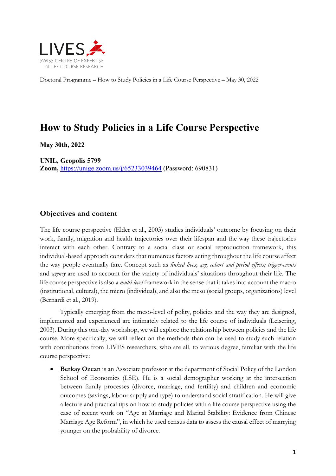

Doctoral Programme – How to Study Policies in a Life Course Perspective – May 30, 2022

# **How to Study Policies in a Life Course Perspective**

**May 30th, 2022**

**UNIL, Geopolis 5799 Zoom,** https://unige.zoom.us/j/65233039464 (Password: 690831)

## **Objectives and content**

The life course perspective (Elder et al., 2003) studies individuals' outcome by focusing on their work, family, migration and health trajectories over their lifespan and the way these trajectories interact with each other. Contrary to a social class or social reproduction framework, this individual-based approach considers that numerous factors acting throughout the life course affect the way people eventually fare. Concept such as *linked lives*; *age, cohort and period effects; trigger-events*  and *agency* are used to account for the variety of individuals' situations throughout their life. The life course perspective is also a *multi-level* framework in the sense that it takes into account the macro (institutional, cultural), the micro (individual), and also the meso (social groups, organizations) level (Bernardi et al., 2019).

Typically emerging from the meso-level of polity, policies and the way they are designed, implemented and experienced are intimately related to the life course of individuals (Leisering, 2003). During this one-day workshop, we will explore the relationship between policies and the life course. More specifically, we will reflect on the methods than can be used to study such relation with contributions from LIVES researchers, who are all, to various degree, familiar with the life course perspective:

• **Berkay Ozcan** is an Associate professor at the department of Social Policy of the London School of Economics (LSE). He is a social demographer working at the intersection between family processes (divorce, marriage, and fertility) and children and economic outcomes (savings, labour supply and type) to understand social stratification. He will give a lecture and practical tips on how to study policies with a life course perspective using the case of recent work on "Age at Marriage and Marital Stability: Evidence from Chinese Marriage Age Reform", in which he used census data to assess the causal effect of marrying younger on the probability of divorce.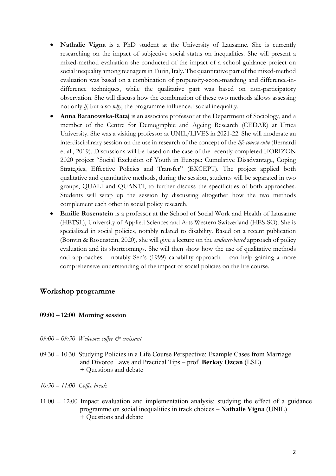- **Nathalie Vigna** is a PhD student at the University of Lausanne. She is currently researching on the impact of subjective social status on inequalities. She will present a mixed-method evaluation she conducted of the impact of a school guidance project on social inequality among teenagers in Turin, Italy. The quantitative part of the mixed-method evaluation was based on a combination of propensity-score-matching and difference-indifference techniques, while the qualitative part was based on non-participatory observation. She will discuss how the combination of these two methods allows assessing not only *if*, but also *why*, the programme influenced social inequality.
- **Anna Baranowska-Rataj** is an associate professor at the Department of Sociology, and a member of the Centre for Demographic and Ageing Research (CEDAR) at Umea University. She was a visiting professor at UNIL/LIVES in 2021-22. She will moderate an interdisciplinary session on the use in research of the concept of the *life course cube* (Bernardi et al., 2019). Discussions will be based on the case of the recently completed HORIZON 2020 project "Social Exclusion of Youth in Europe: Cumulative Disadvantage, Coping Strategies, Effective Policies and Transfer" (EXCEPT). The project applied both qualitative and quantitative methods, during the session, students will be separated in two groups, QUALI and QUANTI, to further discuss the specificities of both approaches. Students will wrap up the session by discussing altogether how the two methods complement each other in social policy research.
- **Emilie Rosenstein** is a professor at the School of Social Work and Health of Lausanne (HETSL), University of Applied Sciences and Arts Western Switzerland (HES-SO). She is specialized in social policies, notably related to disability. Based on a recent publication (Bonvin & Rosenstein, 2020), she will give a lecture on the *evidence-based* approach of policy evaluation and its shortcomings. She will then show how the use of qualitative methods and approaches – notably Sen's (1999) capability approach – can help gaining a more comprehensive understanding of the impact of social policies on the life course.

## **Workshop programme**

#### **09:00 – 12:00 Morning session**

- *09:00 – 09:30 Welcome: coffee & croissant*
- 09:30 *–* 10:30 Studying Policies in a Life Course Perspective: Example Cases from Marriage and Divorce Laws and Practical Tips – prof. **Berkay Ozcan** (LSE) + Questions and debate

*10:30 – 11:00 Coffee break*

11:00 *–* 12:00 Impact evaluation and implementation analysis: studying the effect of a guidance programme on social inequalities in track choices – **Nathalie Vigna** (UNIL) + Questions and debate